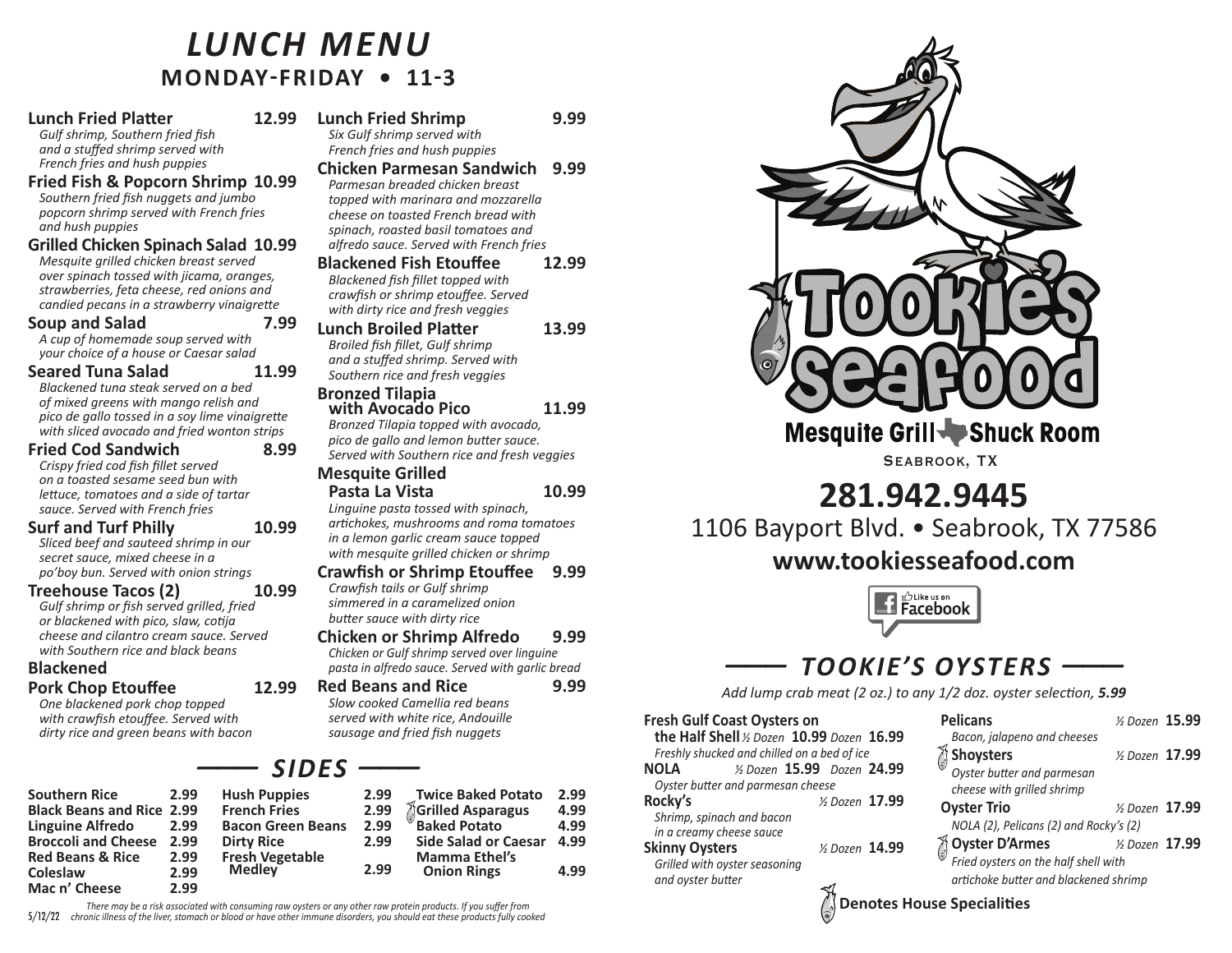## *Lunch mEnu* **MONDAy-FRiDAy • 11-3**

## **Lunch Fried Platter 12.99**

*Gulf shrimp, Southern fried fish and a stuffed shrimp served with French fries and hush puppies*

**Fried Fish & Popcorn Shrimp 10.99** *Southern fried fish nuggets and jumbo popcorn shrimp served with French fries and hush puppies*

### **Grilled Chicken Spinach Salad 10.99**

*Mesquite grilled chicken breast served over spinach tossed with jicama, oranges, strawberries, feta cheese, red onions and candied pecans in a strawberry vinaigrette*

### **Soup and Salad 7.99**

*A cup of homemade soup served with your choice of a house or Caesar salad*

### **Seared Tuna Salad 11.99**

*Blackened tuna steak served on a bed of mixed greens with mango relish and pico de gallo tossed in a soy lime vinaigrette with sliced avocado and fried wonton strips*

### **Fried Cod Sandwich 8.99**

*Crispy fried cod fish fillet served on a toasted sesame seed bun with lettuce, tomatoes and a side of tartar sauce. Served with French fries*

#### **Surf and Turf Philly 10.99**

*Sliced beef and sauteed shrimp in our secret sauce, mixed cheese in a po'boy bun. Served with onion strings*

#### **Treehouse Tacos (2) 10.99**

*Gulf shrimp or fish served grilled, fried or blackened with pico, slaw, cotija cheese and cilantro cream sauce. Served with Southern rice and black beans*

### **Blackened Pork Chop Etouffee 12.99**

*One blackened pork chop topped with crawfish etouffee. Served with dirty rice and green beans with bacon*

#### **Southern Rice 2.99 Black Beans and Rice 2.99 Linguine Alfredo 2.99 Broccoli and Cheese 2.99 Red Beans & Rice 2.99 Coleslaw 2.99 Mac n' Cheese 2.99 Hush Puppies 2.99 French Fries 2.99 Bacon Green Be Dirty Rice 2.99 Fresh Vegetable**

**Lunch Fried Shrimp 9.99**

*Six Gulf shrimp served with French fries and hush puppies*

- **Chicken Parmesan Sandwich 9.99** *Parmesan breaded chicken breast topped with marinara and mozzarella cheese on toasted French bread with spinach, roasted basil tomatoes and*
- *alfredo sauce. Served with French fries* **Blackened Fish Etouffee 12.99** *Blackened fish fillet topped with crawfish or shrimp etouffee. Served*
- *with dirty rice and fresh veggies* **Lunch Broiled Platter 13.99**

*Broiled fish fillet, Gulf shrimp and a stuffed shrimp. Served with Southern rice and fresh veggies*

## **Bronzed Tilapia**

**with Avocado Pico 11.99**

*Bronzed Tilapia topped with avocado, pico de gallo and lemon butter sauce. Served with Southern rice and fresh veggies*

#### **Mesquite Grilled Pasta La Vista 10.99**

*Linguine pasta tossed with spinach, artichokes, mushrooms and roma tomatoes in a lemon garlic cream sauce topped with mesquite grilled chicken or shrimp*

#### **Crawfish or Shrimp Etouffee 9.99** *Crawfish tails or Gulf shrimp simmered in a caramelized onion butter sauce with dirty rice*

## **Chicken or Shrimp Alfredo 9.99** *Chicken or Gulf shrimp served over linguine*

*pasta in alfredo sauce. Served with garlic bread* **Red Beans and Rice 9.99**

#### *Slow cooked Camellia red beans served with white rice, Andouille sausage and fried fish nuggets* **Fresh Gulf Coast Oysters on**

| <b>SIDES</b>       |      |                                                     |      |
|--------------------|------|-----------------------------------------------------|------|
| uppies             | 2.99 | <b>Twice Baked Potato</b>                           | 2.99 |
| <b>Fries</b>       | 2.99 | Grilled Asparagus                                   | 4.99 |
| <b>Green Beans</b> | 2.99 | <b>Baked Potato</b>                                 | 4.99 |
| ice<br>/egetable   | 2.99 | <b>Side Salad or Caesar</b><br><b>Mamma Ethel's</b> | 4.99 |
| ev                 | 2.99 | <b>Onion Rings</b>                                  | 4.99 |

There may be a risk associated with consuming raw oysters or any other raw protein products. If you suffer from  $5/12/22$  chronic illness of the liver, stomach or blood or have other immune disorders, you should eat these products fully cooked

**Medley 2.99**



Mesquite Grill Shuck Room

Seabrook, TX

# **281.942.9445**

1106 Bayport Blvd. • Seabrook, TX 77586

## **www.tookiesseafood.com**



# *——— TOOKIE'S OySTErS ———*

*Add lump crab meat (2 oz.) to any 1/2 doz. oyster selection, 5.99*

| <b>Fresh Gulf Coast Oysters on</b>                    |                             | <b>Pelicans</b>                              | 15.99         |  |
|-------------------------------------------------------|-----------------------------|----------------------------------------------|---------------|--|
| the Half Shell % Dozen 10.99 Dozen 16.99              |                             | Bacon, jalapeno and cheeses                  |               |  |
| Freshly shucked and chilled on a bed of ice           |                             | Shoysters                                    | 17.99         |  |
| NOLA                                                  | 1/2 Dozen 15.99 Dozen 24.99 | Oyster butter and parmesan                   |               |  |
| Oyster butter and parmesan cheese                     |                             | cheese with grilled shrimp                   |               |  |
| Rocky's                                               | 17.99 17.99                 | <b>Oyster Trio</b>                           | 17.99 % 17.99 |  |
| Shrimp, spinach and bacon<br>in a creamy cheese sauce |                             | NOLA (2), Pelicans (2) and Rocky's (2)       |               |  |
| <b>Skinny Oysters</b>                                 | 14.99                       | $\gamma$ Oyster D'Armes $\gamma$ bozen 17.99 |               |  |
| Grilled with oyster seasoning                         |                             | Fried oysters on the half shell with         |               |  |
| and oyster butter                                     |                             | artichoke butter and blackened shrimp        |               |  |
|                                                       |                             | $\sqrt{2}$ Denotes House Specialities        |               |  |